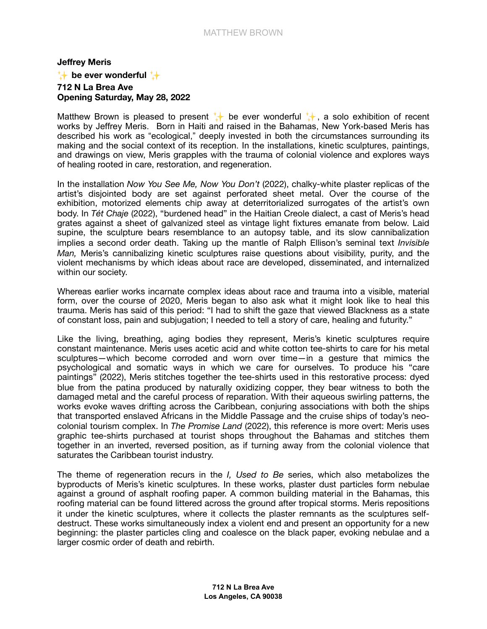## **Jeffrey Meris**  $\rightarrow$  be ever wonderful  $\rightarrow$ 712 N La Brea Ave Opening Saturday, May 28, 2022

Matthew Brown is pleased to present  $\downarrow$  be ever wonderful  $\downarrow$ , a solo exhibition of recent works by Jeffrey Meris. Born in Haiti and raised in the Bahamas, New York-based Meris has described his work as "ecological," deeply invested in both the circumstances surrounding its making and the social context of its reception. In the installations, kinetic sculptures, paintings, and drawings on view, Meris grapples with the trauma of colonial violence and explores ways of healing rooted in care, restoration, and regeneration.

In the installation Now You See Me, Now You Don't (2022), chalky-white plaster replicas of the artist's disjointed body are set against perforated sheet metal. Over the course of the exhibition, motorized elements chip away at deterritorialized surrogates of the artist's own body. In Tét Chaje (2022), "burdened head" in the Haitian Creole dialect, a cast of Meris's head grates against a sheet of galvanized steel as vintage light fixtures emanate from below. Laid supine, the sculpture bears resemblance to an autopsy table, and its slow cannibalization implies a second order death. Taking up the mantle of Ralph Ellison's seminal text *Invisible* Man, Meris's cannibalizing kinetic sculptures raise questions about visibility, purity, and the violent mechanisms by which ideas about race are developed, disseminated, and internalized within our society.

Whereas earlier works incarnate complex ideas about race and trauma into a visible, material form, over the course of 2020, Meris began to also ask what it might look like to heal this trauma. Meris has said of this period: "I had to shift the gaze that viewed Blackness as a state of constant loss, pain and subjugation; I needed to tell a story of care, healing and futurity."

Like the living, breathing, aging bodies they represent, Meris's kinetic sculptures require constant maintenance. Meris uses acetic acid and white cotton tee-shirts to care for his metal sculptures—which become corroded and worn over time—in a gesture that mimics the psychological and somatic ways in which we care for ourselves. To produce his "care paintings" (2022), Meris stitches together the tee-shirts used in this restorative process: dyed blue from the patina produced by naturally oxidizing copper, they bear witness to both the damaged metal and the careful process of reparation. With their aqueous swirling patterns, the works evoke waves drifting across the Caribbean, conjuring associations with both the ships that transported enslaved Africans in the Middle Passage and the cruise ships of today's neocolonial tourism complex. In The Promise Land (2022), this reference is more overt: Meris uses graphic tee-shirts purchased at tourist shops throughout the Bahamas and stitches them together in an inverted, reversed position, as if turning away from the colonial violence that saturates the Caribbean tourist industry.

The theme of regeneration recurs in the *I*, Used to Be series, which also metabolizes the byproducts of Meris's kinetic sculptures. In these works, plaster dust particles form nebulae against a ground of asphalt roofing paper. A common building material in the Bahamas, this roofing material can be found littered across the ground after tropical storms. Meris repositions it under the kinetic sculptures, where it collects the plaster remnants as the sculptures selfdestruct. These works simultaneously index a violent end and present an opportunity for a new beginning: the plaster particles cling and coalesce on the black paper, evoking nebulae and a larger cosmic order of death and rebirth.